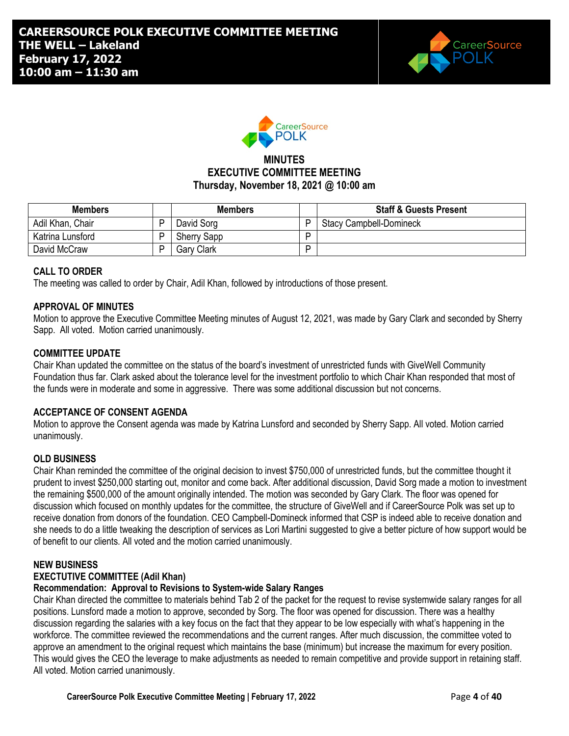



## **MINUTES EXECUTIVE COMMITTEE MEETING Thursday, November 18, 2021 @ 10:00 am**

| <b>Members</b>   | <b>Members</b>     |   | <b>Staff &amp; Guests Present</b> |
|------------------|--------------------|---|-----------------------------------|
| Adil Khan, Chair | David Sorg         | D | <b>Stacy Campbell-Domineck</b>    |
| Katrina Lunsford | <b>Sherry Sapp</b> | D |                                   |
| David McCraw     | Gary Clark         | D |                                   |

## **CALL TO ORDER**

The meeting was called to order by Chair, Adil Khan, followed by introductions of those present.

#### **APPROVAL OF MINUTES**

Motion to approve the Executive Committee Meeting minutes of August 12, 2021, was made by Gary Clark and seconded by Sherry Sapp. All voted. Motion carried unanimously.

#### **COMMITTEE UPDATE**

Chair Khan updated the committee on the status of the board's investment of unrestricted funds with GiveWell Community Foundation thus far. Clark asked about the tolerance level for the investment portfolio to which Chair Khan responded that most of the funds were in moderate and some in aggressive. There was some additional discussion but not concerns.

#### **ACCEPTANCE OF CONSENT AGENDA**

Motion to approve the Consent agenda was made by Katrina Lunsford and seconded by Sherry Sapp. All voted. Motion carried unanimously.

#### **OLD BUSINESS**

Chair Khan reminded the committee of the original decision to invest \$750,000 of unrestricted funds, but the committee thought it prudent to invest \$250,000 starting out, monitor and come back. After additional discussion, David Sorg made a motion to investment the remaining \$500,000 of the amount originally intended. The motion was seconded by Gary Clark. The floor was opened for discussion which focused on monthly updates for the committee, the structure of GiveWell and if CareerSource Polk was set up to receive donation from donors of the foundation. CEO Campbell-Domineck informed that CSP is indeed able to receive donation and she needs to do a little tweaking the description of services as Lori Martini suggested to give a better picture of how support would be of benefit to our clients. All voted and the motion carried unanimously.

#### **NEW BUSINESS**

### **EXECTUTIVE COMMITTEE (Adil Khan)**

#### **Recommendation: Approval to Revisions to System-wide Salary Ranges**

Chair Khan directed the committee to materials behind Tab 2 of the packet for the request to revise systemwide salary ranges for all positions. Lunsford made a motion to approve, seconded by Sorg. The floor was opened for discussion. There was a healthy discussion regarding the salaries with a key focus on the fact that they appear to be low especially with what's happening in the workforce. The committee reviewed the recommendations and the current ranges. After much discussion, the committee voted to approve an amendment to the original request which maintains the base (minimum) but increase the maximum for every position. This would gives the CEO the leverage to make adjustments as needed to remain competitive and provide support in retaining staff. All voted. Motion carried unanimously.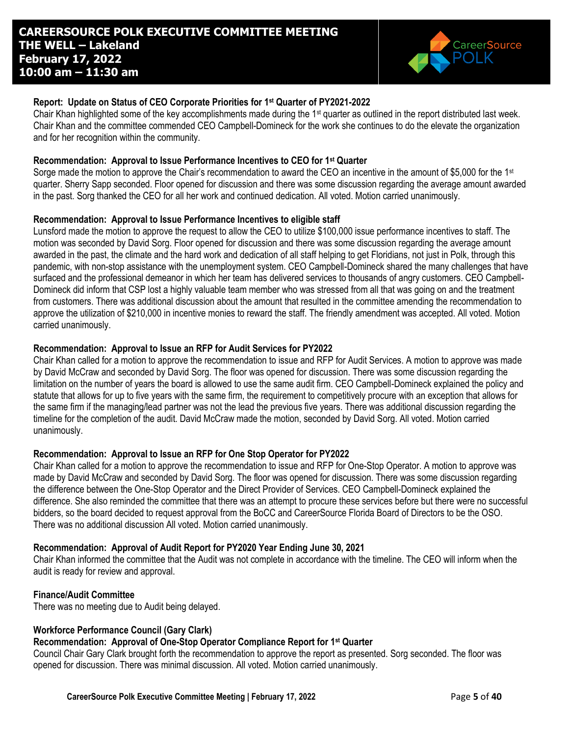

### **Report: Update on Status of CEO Corporate Priorities for 1st Quarter of PY2021-2022**

Chair Khan highlighted some of the key accomplishments made during the  $1st$  quarter as outlined in the report distributed last week. Chair Khan and the committee commended CEO Campbell-Domineck for the work she continues to do the elevate the organization and for her recognition within the community.

#### **Recommendation: Approval to Issue Performance Incentives to CEO for 1st Quarter**

Sorge made the motion to approve the Chair's recommendation to award the CEO an incentive in the amount of \$5,000 for the 1<sup>st</sup> quarter. Sherry Sapp seconded. Floor opened for discussion and there was some discussion regarding the average amount awarded in the past. Sorg thanked the CEO for all her work and continued dedication. All voted. Motion carried unanimously.

### **Recommendation: Approval to Issue Performance Incentives to eligible staff**

Lunsford made the motion to approve the request to allow the CEO to utilize \$100,000 issue performance incentives to staff. The motion was seconded by David Sorg. Floor opened for discussion and there was some discussion regarding the average amount awarded in the past, the climate and the hard work and dedication of all staff helping to get Floridians, not just in Polk, through this pandemic, with non-stop assistance with the unemployment system. CEO Campbell-Domineck shared the many challenges that have surfaced and the professional demeanor in which her team has delivered services to thousands of angry customers. CEO Campbell-Domineck did inform that CSP lost a highly valuable team member who was stressed from all that was going on and the treatment from customers. There was additional discussion about the amount that resulted in the committee amending the recommendation to approve the utilization of \$210,000 in incentive monies to reward the staff. The friendly amendment was accepted. All voted. Motion carried unanimously.

### **Recommendation: Approval to Issue an RFP for Audit Services for PY2022**

Chair Khan called for a motion to approve the recommendation to issue and RFP for Audit Services. A motion to approve was made by David McCraw and seconded by David Sorg. The floor was opened for discussion. There was some discussion regarding the limitation on the number of years the board is allowed to use the same audit firm. CEO Campbell-Domineck explained the policy and statute that allows for up to five years with the same firm, the requirement to competitively procure with an exception that allows for the same firm if the managing/lead partner was not the lead the previous five years. There was additional discussion regarding the timeline for the completion of the audit. David McCraw made the motion, seconded by David Sorg. All voted. Motion carried unanimously.

## **Recommendation: Approval to Issue an RFP for One Stop Operator for PY2022**

Chair Khan called for a motion to approve the recommendation to issue and RFP for One-Stop Operator. A motion to approve was made by David McCraw and seconded by David Sorg. The floor was opened for discussion. There was some discussion regarding the difference between the One-Stop Operator and the Direct Provider of Services. CEO Campbell-Domineck explained the difference. She also reminded the committee that there was an attempt to procure these services before but there were no successful bidders, so the board decided to request approval from the BoCC and CareerSource Florida Board of Directors to be the OSO. There was no additional discussion All voted. Motion carried unanimously.

## **Recommendation: Approval of Audit Report for PY2020 Year Ending June 30, 2021**

Chair Khan informed the committee that the Audit was not complete in accordance with the timeline. The CEO will inform when the audit is ready for review and approval.

#### **Finance/Audit Committee**

There was no meeting due to Audit being delayed.

# **Workforce Performance Council (Gary Clark)**

# **Recommendation: Approval of One-Stop Operator Compliance Report for 1st Quarter**

Council Chair Gary Clark brought forth the recommendation to approve the report as presented. Sorg seconded. The floor was opened for discussion. There was minimal discussion. All voted. Motion carried unanimously.